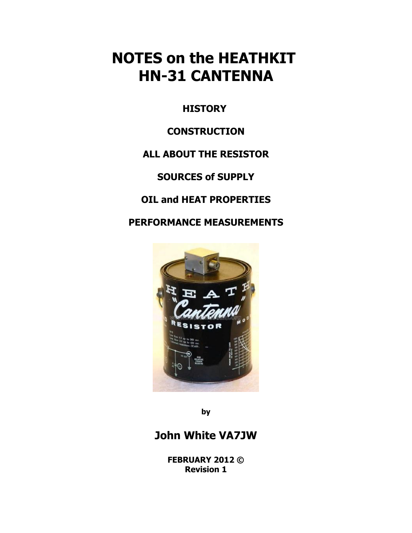# **NOTES on the HEATHKIT HN-31 CANTENNA**

**HISTORY** 

### **CONSTRUCTION**

### **ALL ABOUT THE RESISTOR**

**SOURCES of SUPPLY**

**OIL and HEAT PROPERTIES**

**PERFORMANCE MEASUREMENTS**



**by**

## **John White VA7JW**

**FEBRUARY 2012 © Revision 1**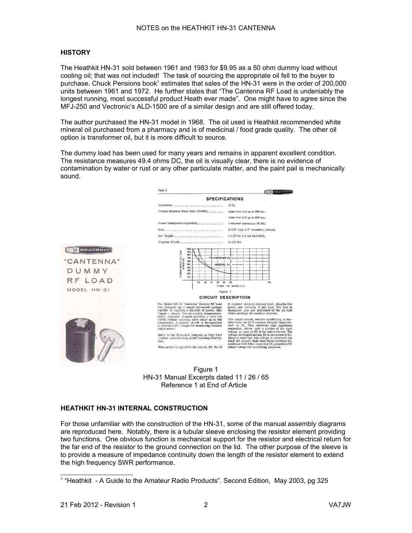#### **HISTORY**

The Heathkit HN-31 sold between 1961 and 1983 for \$9.95 as a 50 ohm dummy load without cooling oil; that was not included! The task of sourcing the appropriate oil fell to the buyer to purchase. Chuck Pensions book<sup>[1](#page-1-0)</sup> estimates that sales of the HN-31 were in the order of 200,000 units between 1961 and 1972. He further states that "The Cantenna RF Load is undeniably the longest running, most successful product Heath ever made". One might have to agree since the MFJ-250 and Vectronic's ALD-1500 are of a similar design and are still offered today.

The author purchased the HN-31 model in 1968. The oil used is Heathkit recommended white mineral oil purchased from a pharmacy and is of medicinal / food grade quality. The other oil option is transformer oil, but it is more difficult to source.

The dummy load has been used for many years and remains in apparent excellent condition. The resistance measures 49.4 ohms DC, the oil is visually clear, there is no evidence of contamination by water or rust or any other particulate matter, and the paint pail is mechanically sound.





#### **HEATHKIT HN-31 INTERNAL CONSTRUCTION**

For those unfamiliar with the construction of the HN-31, some of the manual assembly diagrams are reproduced here. Notably, there is a tubular sleeve enclosing the resistor element providing two functions. One obvious function is mechanical support for the resistor and electrical return for the far end of the resistor to the ground connection on the lid. The other purpose of the sleeve is to provide a measure of impedance continuity down the length of the resistor element to extend the high frequency SWR performance.

<span id="page-1-0"></span><sup>&</sup>lt;sup>1</sup> "Heathkit - A Guide to the Amateur Radio Products". Second Edition, May 2003, pg 325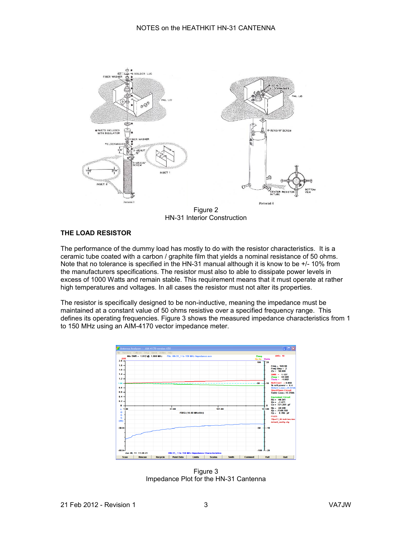

Figure 2 HN-31 Interior Construction

#### **THE LOAD RESISTOR**

The performance of the dummy load has mostly to do with the resistor characteristics. It is a ceramic tube coated with a carbon / graphite film that yields a nominal resistance of 50 ohms. Note that no tolerance is specified in the HN-31 manual although it is know to be +/- 10% from the manufacturers specifications. The resistor must also to able to dissipate power levels in excess of 1000 Watts and remain stable. This requirement means that it must operate at rather high temperatures and voltages. In all cases the resistor must not alter its properties.

The resistor is specifically designed to be non-inductive, meaning the impedance must be maintained at a constant value of 50 ohms resistive over a specified frequency range. This defines its operating frequencies. Figure 3 shows the measured impedance characteristics from 1 to 150 MHz using an AIM-4170 vector impedance meter.



Figure 3 Impedance Plot for the HN-31 Cantenna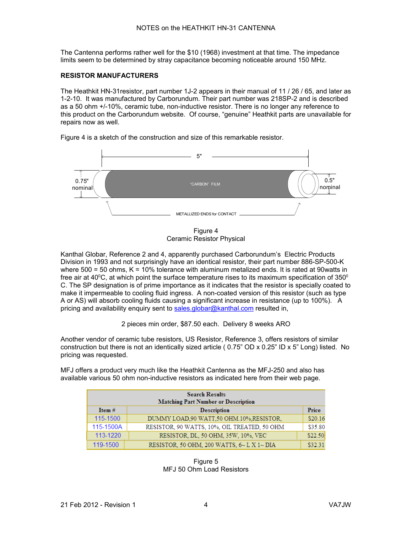The Cantenna performs rather well for the \$10 (1968) investment at that time. The impedance limits seem to be determined by stray capacitance becoming noticeable around 150 MHz.

#### **RESISTOR MANUFACTURERS**

The Heathkit HN-31resistor, part number 1J-2 appears in their manual of 11 / 26 / 65, and later as 1-2-10. It was manufactured by Carborundum. Their part number was 218SP-2 and is described as a 50 ohm +/-10%, ceramic tube, non-inductive resistor. There is no longer any reference to this product on the Carborundum website. Of course, "genuine" Heathkit parts are unavailable for repairs now as well.



Figure 4 is a sketch of the construction and size of this remarkable resistor.

Figure 4 Ceramic Resistor Physical

Kanthal Globar, Reference 2 and 4, apparently purchased Carborundum's Electric Products Division in 1993 and not surprisingly have an identical resistor, their part number 886-SP-500-K where 500 = 50 ohms, K = 10% tolerance with aluminum metalized ends. It is rated at 90watts in free air at 40 $^{\circ}$ C, at which point the surface temperature rises to its maximum specification of 350 $^{\circ}$ C. The SP designation is of prime importance as it indicates that the resistor is specially coated to make it impermeable to cooling fluid ingress. A non-coated version of this resistor (such as type A or AS) will absorb cooling fluids causing a significant increase in resistance (up to 100%). A pricing and availability enquiry sent to  $sales. globar@kanthal.com$  resulted in,

2 pieces min order, \$87.50 each. Delivery 8 weeks ARO

Another vendor of ceramic tube resistors, US Resistor, Reference 3, offers resistors of similar construction but there is not an identically sized article ( $0.75$ " OD x  $0.25$ " ID x  $5$ " Long) listed. No pricing was requested.

MFJ offers a product very much like the Heathkit Cantenna as the MFJ-250 and also has available various 50 ohm non-inductive resistors as indicated here from their web page.

| <b>Search Results</b>                      |                                              |         |  |  |  |
|--------------------------------------------|----------------------------------------------|---------|--|--|--|
| <b>Matching Part Number or Description</b> |                                              |         |  |  |  |
| Item $#$                                   | <b>Description</b>                           | Price   |  |  |  |
| 115-1500                                   | DUMMY LOAD, 90 WATT, 50 OHM. 10%, RESISTOR,  | \$20.16 |  |  |  |
| 115-1500A                                  | RESISTOR, 90 WATTS, 10%, OIL TREATED, 50 OHM | \$35.80 |  |  |  |
| 113-1220                                   | RESISTOR, DL, 50 OHM, 35W, 10%, VEC          | \$22.50 |  |  |  |
| 119-1500                                   | RESISTOR, 50 OHM, 200 WATTS, 6~ L X 1~ DIA   | \$32.31 |  |  |  |

Figure 5 MFJ 50 Ohm Load Resistors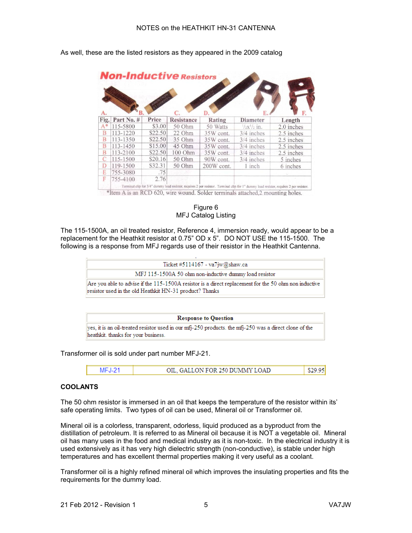

As well, these are the listed resistors as they appeared in the 2009 catalog

Figure 6 MFJ Catalog Listing

The 115-1500A, an oil treated resistor, Reference 4, immersion ready, would appear to be a replacement for the Heathkit resistor at 0.75" OD x 5". DO NOT USE the 115-1500. The following is a response from MFJ regards use of their resistor in the Heathkit Cantenna.



**Response to Question** yes, it is an oil-treated resistor used in our mfj-250 products. the mfj-250 was a direct clone of the heathkit. thanks for your business.

Transformer oil is sold under part number MFJ-21.



#### **COOLANTS**

The 50 ohm resistor is immersed in an oil that keeps the temperature of the resistor within its' safe operating limits. Two types of oil can be used, Mineral oil or Transformer oil.

Mineral oil is a colorless, transparent, odorless, liquid produced as a byproduct from the distillation of petroleum. It is referred to as Mineral oil because it is NOT a vegetable oil. Mineral oil has many uses in the food and medical industry as it is non-toxic. In the electrical industry it is used extensively as it has very high dielectric strength (non-conductive), is stable under high temperatures and has excellent thermal properties making it very useful as a coolant.

Transformer oil is a highly refined mineral oil which improves the insulating properties and fits the requirements for the dummy load.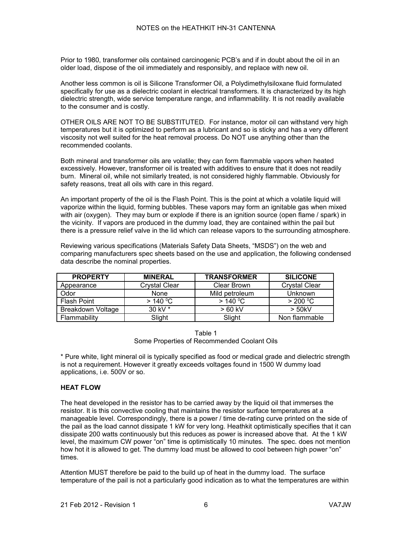Prior to 1980, transformer oils contained carcinogenic PCB's and if in doubt about the oil in an older load, dispose of the oil immediately and responsibly, and replace with new oil.

Another less common is oil is Silicone Transformer Oil, a Polydimethylsiloxane fluid formulated specifically for use as a dielectric coolant in electrical transformers. It is characterized by its high dielectric strength, wide service temperature range, and inflammability. It is not readily available to the consumer and is costly.

OTHER OILS ARE NOT TO BE SUBSTITUTED. For instance, motor oil can withstand very high temperatures but it is optimized to perform as a lubricant and so is sticky and has a very different viscosity not well suited for the heat removal process. Do NOT use anything other than the recommended coolants.

Both mineral and transformer oils are volatile; they can form flammable vapors when heated excessively. However, transformer oil is treated with additives to ensure that it does not readily burn. Mineral oil, while not similarly treated, is not considered highly flammable. Obviously for safety reasons, treat all oils with care in this regard.

An important property of the oil is the Flash Point. This is the point at which a volatile liquid will vaporize within the liquid, forming bubbles. These vapors may form an ignitable gas when mixed with air (oxygen). They may burn or explode if there is an ignition source (open flame / spark) in the vicinity. If vapors are produced in the dummy load, they are contained within the pail but there is a pressure relief valve in the lid which can release vapors to the surrounding atmosphere.

Reviewing various specifications (Materials Safety Data Sheets, "MSDS") on the web and comparing manufacturers spec sheets based on the use and application, the following condensed data describe the nominal properties.

| <b>PROPERTY</b>          | <b>MINERAL</b>       | <b>TRANSFORMER</b> | <b>SILICONE</b>      |
|--------------------------|----------------------|--------------------|----------------------|
| Appearance               | <b>Crystal Clear</b> | Clear Brown        | <b>Crystal Clear</b> |
| Odor                     | None                 | Mild petroleum     | Unknown              |
| <b>Flash Point</b>       | > 140 °C             | > 140 °C           | $>$ 200 °C           |
| <b>Breakdown Voltage</b> | 30 kV $*$            | $>60$ kV           | $>$ 50kV             |
| Flammability             | Slight               | Slight             | Non flammable        |

| Table 1                                     |  |
|---------------------------------------------|--|
| Some Properties of Recommended Coolant Oils |  |

\* Pure white, light mineral oil is typically specified as food or medical grade and dielectric strength is not a requirement. However it greatly exceeds voltages found in 1500 W dummy load applications, i.e. 500V or so.

#### **HEAT FLOW**

The heat developed in the resistor has to be carried away by the liquid oil that immerses the resistor. It is this convective cooling that maintains the resistor surface temperatures at a manageable level. Correspondingly, there is a power / time de-rating curve printed on the side of the pail as the load cannot dissipate 1 kW for very long. Heathkit optimistically specifies that it can dissipate 200 watts continuously but this reduces as power is increased above that. At the 1 kW level, the maximum CW power "on" time is optimistically 10 minutes. The spec. does not mention how hot it is allowed to get. The dummy load must be allowed to cool between high power "on" times.

Attention MUST therefore be paid to the build up of heat in the dummy load. The surface temperature of the pail is not a particularly good indication as to what the temperatures are within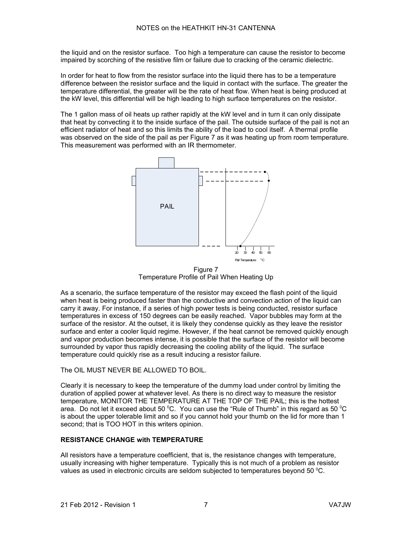the liquid and on the resistor surface. Too high a temperature can cause the resistor to become impaired by scorching of the resistive film or failure due to cracking of the ceramic dielectric.

In order for heat to flow from the resistor surface into the liquid there has to be a temperature difference between the resistor surface and the liquid in contact with the surface. The greater the temperature differential, the greater will be the rate of heat flow. When heat is being produced at the kW level, this differential will be high leading to high surface temperatures on the resistor.

The 1 gallon mass of oil heats up rather rapidly at the kW level and in turn it can only dissipate that heat by convecting it to the inside surface of the pail. The outside surface of the pail is not an efficient radiator of heat and so this limits the ability of the load to cool itself. A thermal profile was observed on the side of the pail as per Figure 7 as it was heating up from room temperature. This measurement was performed with an IR thermometer.



Figure 7 Temperature Profile of Pail When Heating Up

As a scenario, the surface temperature of the resistor may exceed the flash point of the liquid when heat is being produced faster than the conductive and convection action of the liquid can carry it away. For instance, if a series of high power tests is being conducted, resistor surface temperatures in excess of 150 degrees can be easily reached. Vapor bubbles may form at the surface of the resistor. At the outset, it is likely they condense quickly as they leave the resistor surface and enter a cooler liquid regime. However, if the heat cannot be removed quickly enough and vapor production becomes intense, it is possible that the surface of the resistor will become surrounded by vapor thus rapidly decreasing the cooling ability of the liquid. The surface temperature could quickly rise as a result inducing a resistor failure.

The OIL MUST NEVER BE ALLOWED TO BOIL.

Clearly it is necessary to keep the temperature of the dummy load under control by limiting the duration of applied power at whatever level. As there is no direct way to measure the resistor temperature, MONITOR THE TEMPERATURE AT THE TOP OF THE PAIL; this is the hottest area. Do not let it exceed about 50 °C. You can use the "Rule of Thumb" in this regard as 50 °C is about the upper tolerable limit and so if you cannot hold your thumb on the lid for more than 1 second; that is TOO HOT in this writers opinion.

#### **RESISTANCE CHANGE with TEMPERATURE**

All resistors have a temperature coefficient, that is, the resistance changes with temperature, usually increasing with higher temperature. Typically this is not much of a problem as resistor values as used in electronic circuits are seldom subjected to temperatures beyond 50  $^{\circ}$ C.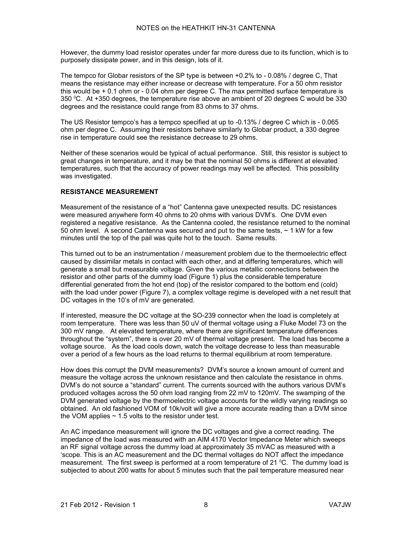However, the dummy load resistor operates under far more duress due to its function, which is to purposely dissipate power, and in this design, lots of it.

The tempco for Globar resistors of the SP type is between +0.2% to - 0.08% / degree C, That means the resistance may either increase or decrease with temperature. For a 50 ohm resistor this would be + 0.1 ohm or - 0.04 ohm per degree C. The max permitted surface temperature is 350 <sup>0</sup>C. At +350 degrees, the temperature rise above an ambient of 20 degrees C would be 330 degrees and the resistance could range from 83 ohms to 37 ohms.

The US Resistor tempco's has a tempco specified at up to -0.13% / degree C which is - 0.065 ohm per degree C. Assuming their resistors behave similarly to Globar product, a 330 degree rise in temperature could see the resistance decrease to 29 ohms.

Neither of these scenarios would be typical of actual performance. Still, this resistor is subject to great changes in temperature, and it may be that the nominal 50 ohms is different at elevated temperatures, such that the accuracy of power readings may well be affected. This possibility was investigated.

#### **RESISTANCE MEASUREMENT**

Measurement of the resistance of a "hot" Cantenna gave unexpected results. DC resistances were measured anywhere form 40 ohms to 20 ohms with various DVM's. One DVM even registered a negative resistance. As the Cantenna cooled, the resistance returned to the nominal 50 ohm level. A second Cantenna was secured and put to the same tests,  $\sim$  1 kW for a few minutes until the top of the pail was quite hot to the touch. Same results.

This turned out to be an instrumentation / measurement problem due to the thermoelectric effect caused by dissimilar metals in contact with each other, and at differing temperatures, which will generate a small but measurable voltage. Given the various metallic connections between the resistor and other parts of the dummy load (Figure 1) plus the considerable temperature differential generated from the hot end (top) of the resistor compared to the bottom end (cold) with the load under power (Figure 7), a complex voltage regime is developed with a net result that DC voltages in the 10's of mV are generated.

If interested, measure the DC voltage at the SO-239 connector when the load is completely at room temperature. There was less than 50 uV of thermal voltage using a Fluke Model 73 on the 300 mV range. At elevated temperature, where there are significant temperature differences throughout the "system", there is over 20 mV of thermal voltage present. The load has become a voltage source. As the load cools down, watch the voltage decrease to less than measurable over a period of a few hours as the load returns to thermal equilibrium at room temperature.

How does this corrupt the DVM measurements? DVM's source a known amount of current and measure the voltage across the unknown resistance and then calculate the resistance in ohms. DVM's do not source a "standard" current. The currents sourced with the authors various DVM's produced voltages across the 50 ohm load ranging from 22 mV to 120mV. The swamping of the DVM generated voltage by the thermoelectric voltage accounts for the wildly varying readings so obtained. An old fashioned VOM of 10k/volt will give a more accurate reading than a DVM since the VOM applies  $\sim$  1.5 volts to the resistor under test.

An AC impedance measurement will ignore the DC voltages and give a correct reading. The impedance of the load was measured with an AIM 4170 Vector Impedance Meter which sweeps an RF signal voltage across the dummy load at approximately 35 mVAC as measured with a 'scope. This is an AC measurement and the DC thermal voltages do NOT affect the impedance measurement. The first sweep is performed at a room temperature of 21  $^{\circ}$ C. The dummy load is subjected to about 200 watts for about 5 minutes such that the pail temperature measured near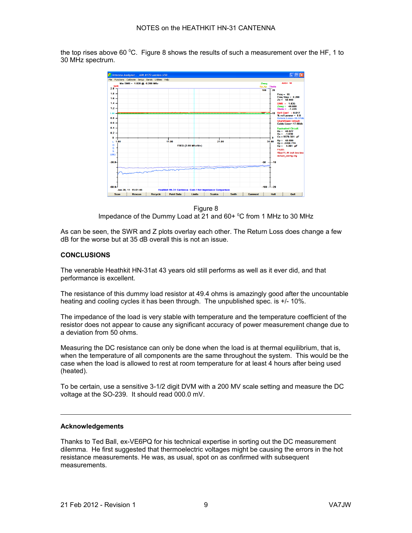the top rises above 60  $\degree$ C. Figure 8 shows the results of such a measurement over the HF, 1 to 30 MHz spectrum.



Figure 8 Impedance of the Dummy Load at 21 and 60+ °C from 1 MHz to 30 MHz

As can be seen, the SWR and Z plots overlay each other. The Return Loss does change a few dB for the worse but at 35 dB overall this is not an issue.

#### **CONCLUSIONS**

The venerable Heathkit HN-31at 43 years old still performs as well as it ever did, and that performance is excellent.

The resistance of this dummy load resistor at 49.4 ohms is amazingly good after the uncountable heating and cooling cycles it has been through. The unpublished spec. is +/- 10%.

The impedance of the load is very stable with temperature and the temperature coefficient of the resistor does not appear to cause any significant accuracy of power measurement change due to a deviation from 50 ohms.

Measuring the DC resistance can only be done when the load is at thermal equilibrium, that is, when the temperature of all components are the same throughout the system. This would be the case when the load is allowed to rest at room temperature for at least 4 hours after being used (heated).

To be certain, use a sensitive 3-1/2 digit DVM with a 200 MV scale setting and measure the DC voltage at the SO-239. It should read 000.0 mV.

#### **Acknowledgements**

Thanks to Ted Ball, ex-VE6PQ for his technical expertise in sorting out the DC measurement dilemma. He first suggested that thermoelectric voltages might be causing the errors in the hot resistance measurements. He was, as usual, spot on as confirmed with subsequent measurements.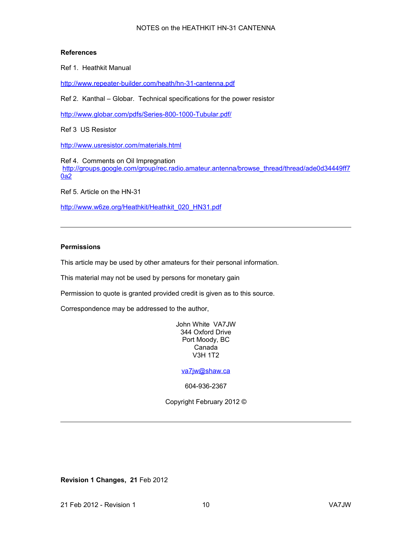#### NOTES on the HEATHKIT HN-31 CANTENNA

#### **References**

Ref 1. Heathkit Manual

<http://www.repeater-builder.com/heath/hn-31-cantenna.pdf>

Ref 2. Kanthal – Globar. Technical specifications for the power resistor

<http://www.globar.com/pdfs/Series-800-1000-Tubular.pdf/>

Ref 3 US Resistor

<http://www.usresistor.com/materials.html>

Ref 4. Comments on Oil Impregnation [http://groups.google.com/group/rec.radio.amateur.antenna/browse\\_thread/thread/ade0d34449ff7](http://groups.google.com/group/rec.radio.amateur.antenna/browse_thread/thread/ade0d34449ff70a2) [0a2](http://groups.google.com/group/rec.radio.amateur.antenna/browse_thread/thread/ade0d34449ff70a2)

Ref 5. Article on the HN-31

[http://www.w6ze.org/Heathkit/Heathkit\\_020\\_HN31.pdf](http://www.w6ze.org/Heathkit/Heathkit_020_HN31.pdf)

#### **Permissions**

This article may be used by other amateurs for their personal information.

This material may not be used by persons for monetary gain

Permission to quote is granted provided credit is given as to this source.

Correspondence may be addressed to the author,

John White VA7JW 344 Oxford Drive Port Moody, BC Canada V3H 1T2

[va7jw@shaw.ca](mailto:va7jw@shaw.ca)

604-936-2367

Copyright February 2012 ©

**Revision 1 Changes, 21** Feb 2012